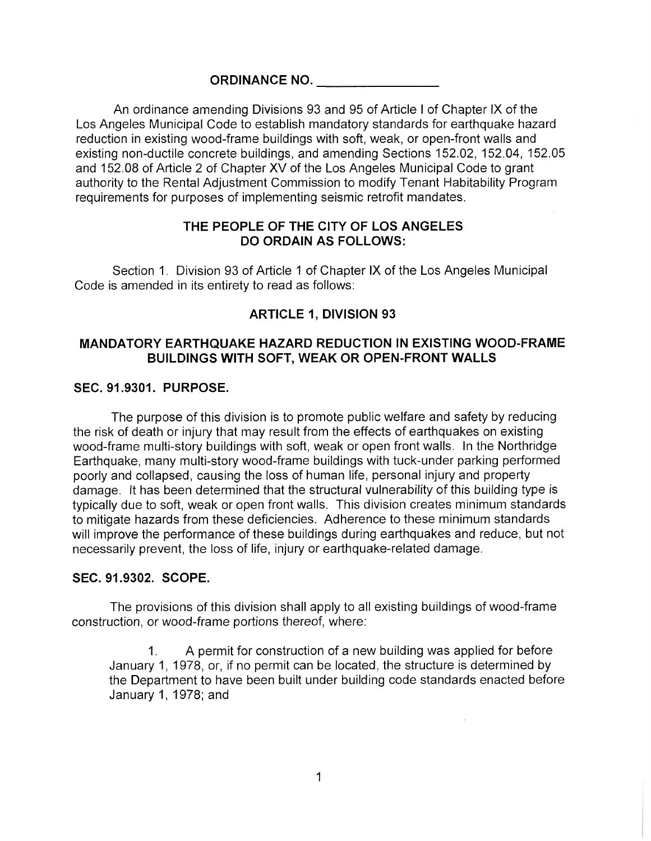### **ORDINANCE NO.**

An ordinance amending Divisions 93 and 95 of Article <sup>I</sup> of Chapter IX of the Los Angeles Municipal Code to establish mandatory standards for earthquake hazard reduction in existing wood-frame buildings with soft, weak, or open-front walls and existing non-ductile concrete buildings, and amending Sections 152.02, 152.04, 152.05 and 152.08 of Article 2 of Chapter XV of the Los Angeles Municipal Code to grant authority to the Rental Adjustment Commission to modify Tenant Habitability Program requirements for purposes of implementing seismic retrofit mandates.

# **THE PEOPLE OF THE CITY OF LOS ANGELES DO ORDAIN AS FOLLOWS:**

Section 1. Division 93 of Article <sup>1</sup> of Chapter IX of the Los Angeles Municipal Code is amended in its entirety to read as follows:

# **ARTICLE 1, DIVISION 93**

# **MANDATORY EARTHQUAKE HAZARD REDUCTION IN EXISTING WOOD-FRAME BUILDINGS WITH SOFT, WEAK OR OPEN-FRONT WALLS**

#### **SEC. 91.9301. PURPOSE.**

The purpose of this division is to promote public welfare and safety by reducing the risk of death or injury that may result from the effects of earthquakes on existing wood-frame multi-story buildings with soft, weak or open front walls. In the Northridge Earthquake, many multi-story wood-frame buildings with tuck-under parking performed poorly and collapsed, causing the loss of human life, personal injury and property damage. It has been determined that the structural vulnerability of this building type is typically due to soft, weak or open front walls. This division creates minimum standards to mitigate hazards from these deficiencies. Adherence to these minimum standards will improve the performance of these buildings during earthquakes and reduce, but not necessarily prevent, the loss of life, injury or earthquake-related damage.

#### **SEC. 91.9302. SCOPE.**

The provisions of this division shall apply to all existing buildings of wood-frame construction, or wood-frame portions thereof, where:

A permit for construction of a new building was applied for before January 1, 1978, or, if no permit can be located, the structure is determined by the Department to have been built under building code standards enacted before January 1, 1978; and 1**.**

 $\mathcal{L}$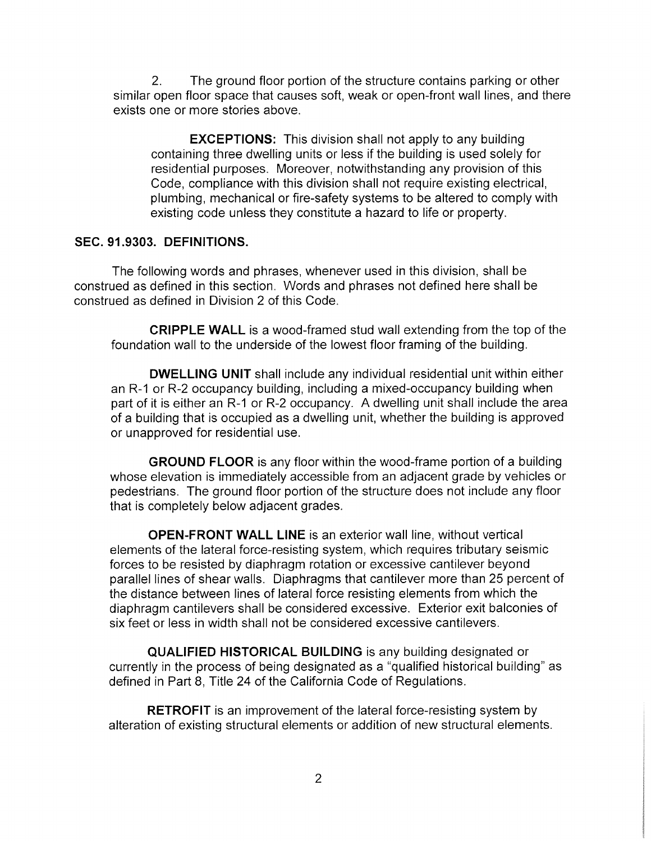The ground floor portion of the structure contains parking or other similar open floor space that causes soft, weak or open-front wall lines, and there exists one or more stories above. 2**.**

**EXCEPTIONS:** This division shall not apply to any building containing three dwelling units or less if the building is used solely for residential purposes. Moreover, notwithstanding any provision of this Code, compliance with this division shall not require existing electrical, plumbing, mechanical or fire-safety systems to be altered to comply with existing code unless they constitute a hazard to life or property.

#### SEC. 91.9303. DEFINITIONS.

The following words and phrases, whenever used in this division, shall be construed as defined in this section. Words and phrases not defined here shall be construed as defined in Division 2 of this Code.

**CRIPPLE WALL** is a wood-framed stud wall extending from the top of the foundation wall to the underside of the lowest floor framing of the building.

DWELLING UNIT shall include any individual residential unit within either an R-1 or R-2 occupancy building, including a mixed-occupancy building when part of it is either an R-1 or R-2 occupancy. A dwelling unit shall include the area of a building that is occupied as a dwelling unit, whether the building is approved or unapproved for residential use.

GROUND FLOOR is any floor within the wood-frame portion of a building whose elevation is immediately accessible from an adjacent grade by vehicles or pedestrians. The ground floor portion of the structure does not include any floor that is completely below adjacent grades.

OPEN-FRONT WALL LINE is an exterior wall line, without vertical elements of the lateral force-resisting system, which requires tributary seismic forces to be resisted by diaphragm rotation or excessive cantilever beyond parallel lines of shear walls. Diaphragms that cantilever more than 25 percent of the distance between lines of lateral force resisting elements from which the diaphragm cantilevers shall be considered excessive. Exterior exit balconies of six feet or less in width shall not be considered excessive cantilevers.

QUALIFIED HISTORICAL BUILDING is any building designated or currently in the process of being designated as a "qualified historical building" as defined in Part 8, Title 24 of the California Code of Regulations.

**RETROFIT** is an improvement of the lateral force-resisting system by alteration of existing structural elements or addition of new structural elements.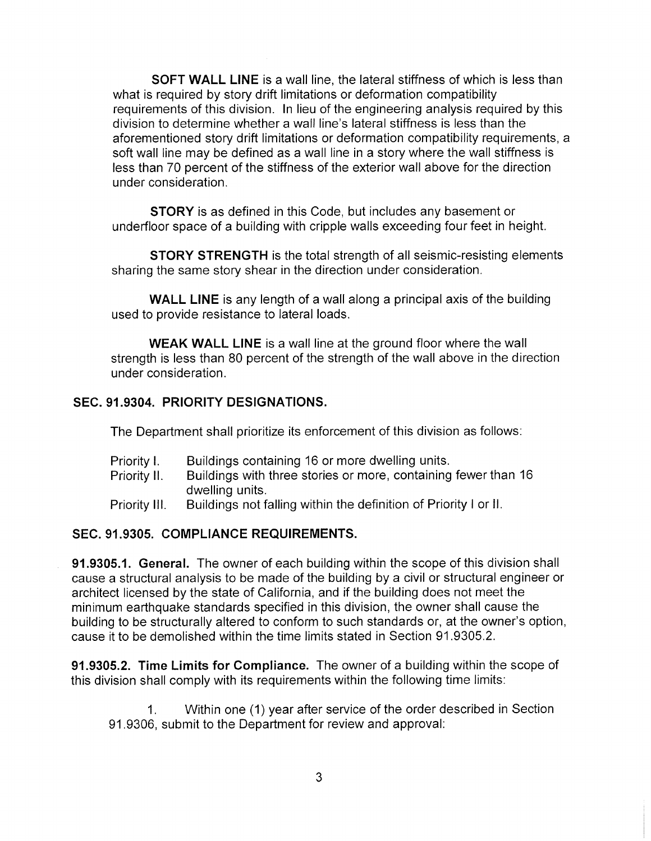**SOFT WALL LINE** is a wall line, the lateral stiffness of which is less than what is required by story drift limitations or deformation compatibility requirements of this division. In lieu of the engineering analysis required by this division to determine whether a wall line's lateral stiffness is less than the aforementioned story drift limitations or deformation compatibility requirements, a soft wall line may be defined as a wall line in a story where the wall stiffness is less than 70 percent of the stiffness of the exterior wall above for the direction under consideration.

**STORY** is as defined in this Code, but includes any basement or underfloor space of a building with cripple walls exceeding four feet in height.

**STORY STRENGTH** is the total strength of all seismic-resisting elements sharing the same story shear in the direction under consideration.

**WALL LINE** is any length of a wall along a principal axis of the building used to provide resistance to lateral loads.

**WEAK WALL LINE** is a wall line at the ground floor where the wall strength is less than 80 percent of the strength of the wall above in the direction under consideration.

# **SEC. 91.9304. PRIORITY DESIGNATIONS.**

The Department shall prioritize its enforcement of this division as follows:

- Buildings containing 16 or more dwelling units. Priority I.
- Buildings with three stories or more, containing fewer than 16 dwelling units. Priority II.
- Buildings not falling within the definition of Priority <sup>I</sup> or II. Priority III.

# **SEC. 91.9305. COMPLIANCE REQUIREMENTS.**

**91.9305.1. General.** The owner of each building within the scope of this division shall cause a structural analysis to be made of the building by a civil or structural engineer or architect licensed by the state of California, and if the building does not meet the minimum earthquake standards specified in this division, the owner shall cause the building to be structurally altered to conform to such standards or, at the owner's option, cause it to be demolished within the time limits stated in Section 91.9305.2.

**91.9305.2. Time Limits for Compliance.** The owner of a building within the scope of this division shall comply with its requirements within the following time limits:

Within one (1) year after service of the order described in Section 91.9306, submit to the Department for review and approval: 1**.**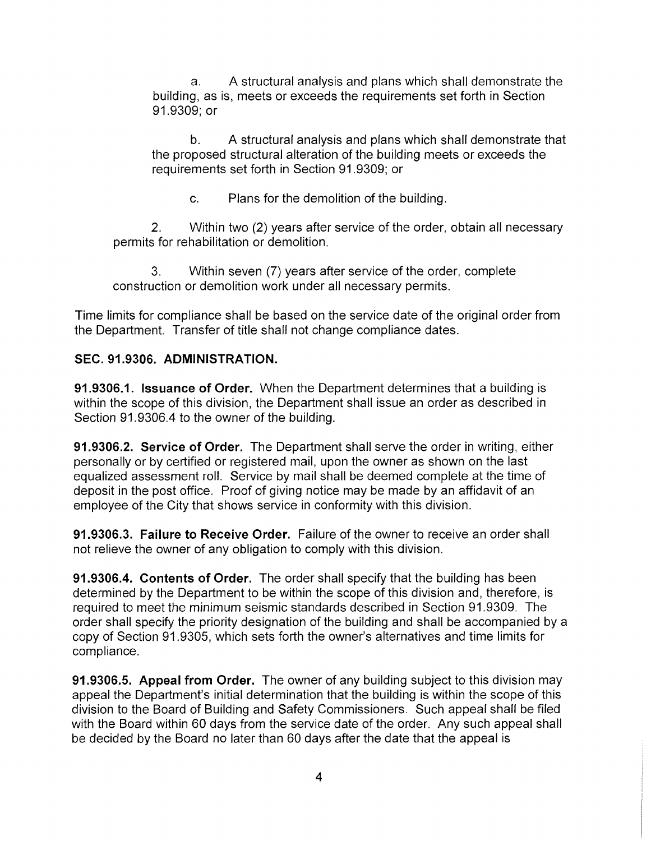A structural analysis and plans which shall demonstrate the building, as is, meets or exceeds the requirements set forth in Section 91.9309; or a.

A structural analysis and plans which shall demonstrate that the proposed structural alteration of the building meets or exceeds the requirements set forth in Section 91.9309; or b.

c. Plans for the demolition of the building.

Within two (2) years after service of the order, obtain all necessary permits for rehabilitation or demolition. 2**.**

Within seven (7) years after service of the order, complete construction or demolition work under all necessary permits. 3.

Time limits for compliance shall be based on the service date of the original order from the Department. Transfer of title shall not change compliance dates.

# **SEC. 91.9306. ADMINISTRATION.**

**91.9306.1. Issuance of Order.** When the Department determines that a building is within the scope of this division, the Department shall issue an order as described in Section 91.9306.4 to the owner of the building.

**91.9306.2. Service of Order.** The Department shall serve the order in writing, either personally or by certified or registered mail, upon the owner as shown on the last equalized assessment roll. Service by mail shall be deemed complete at the time of deposit in the post office. Proof of giving notice may be made by an affidavit of an employee of the City that shows service in conformity with this division.

**91.9306.3. Failure to Receive Order.** Failure of the owner to receive an order shall not relieve the owner of any obligation to comply with this division.

**91.9306.4. Contents of Order.** The order shall specify that the building has been determined by the Department to be within the scope of this division and, therefore, is required to meet the minimum seismic standards described in Section 91.9309. The order shall specify the priority designation of the building and shall be accompanied by a copy of Section 91.9305, which sets forth the owner's alternatives and time limits for compliance.

**91.9306.5. Appeal from Order.** The owner of any building subject to this division may appeal the Department's initial determination that the building is within the scope of this division to the Board of Building and Safety Commissioners. Such appeal shall be filed with the Board within 60 days from the service date of the order. Any such appeal shall be decided by the Board no later than 60 days after the date that the appeal is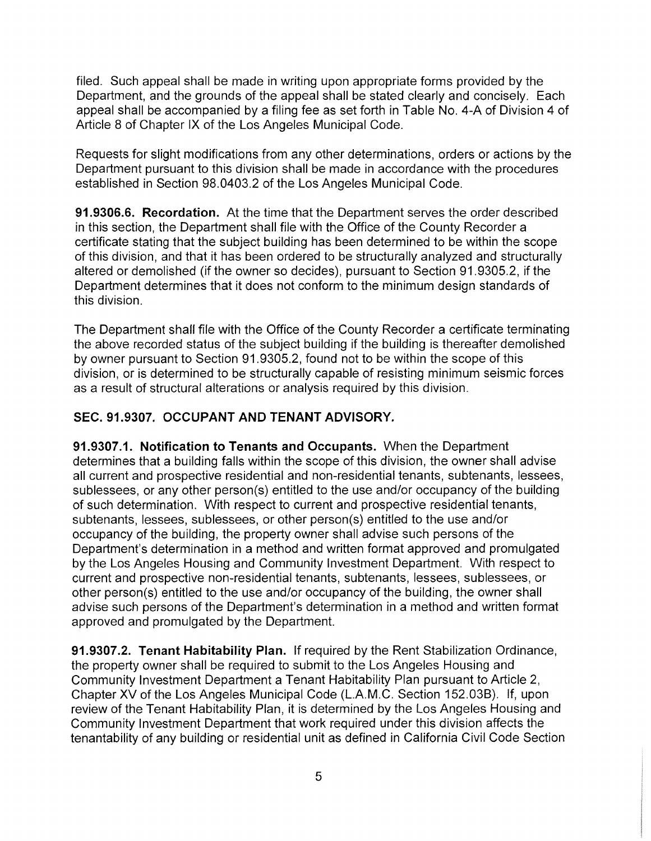filed. Such appeal shall be made in writing upon appropriate forms provided by the Department, and the grounds of the appeal shall be stated clearly and concisely. Each appeal shall be accompanied by a filing fee as set forth in Table No. 4-A of Division 4 of Article 8 of Chapter IX of the Los Angeles Municipal Code.

Requests for slight modifications from any other determinations, orders or actions by the Department pursuant to this division shall be made in accordance with the procedures established in Section 98.0403.2 of the Los Angeles Municipal Code.

**91.9306.6. Recordation.** At the time that the Department serves the order described in this section, the Department shall file with the Office of the County Recorder a certificate stating that the subject building has been determined to be within the scope of this division, and that it has been ordered to be structurally analyzed and structurally altered or demolished (if the owner so decides), pursuant to Section 91.9305.2, if the Department determines that it does not conform to the minimum design standards of this division.

The Department shall file with the Office of the County Recorder a certificate terminating the above recorded status of the subject building if the building is thereafter demolished by owner pursuant to Section 91.9305.2, found not to be within the scope of this division, or is determined to be structurally capable of resisting minimum seismic forces as a result of structural alterations or analysis required by this division.

# **SEC. 91.9307. OCCUPANT AND TENANT ADVISORY.**

**91.9307.1. Notification to Tenants and Occupants.** When the Department determines that a building falls within the scope of this division, the owner shall advise all current and prospective residential and non-residential tenants, subtenants, lessees sublessees, or any other person(s) entitled to the use and/or occupancy of the building of such determination. With respect to current and prospective residential tenants, subtenants, lessees, sublessees, or other person(s) entitled to the use and/or occupancy of the building, the property owner shall advise such persons of the Department's determination in a method and written format approved and promulgated by the Los Angeles Housing and Community Investment Department. With respect to current and prospective non-residential tenants, subtenants, lessees, sublessees, or other person(s) entitled to the use and/or occupancy of the building, the owner shall advise such persons of the Department's determination in a method and written format approved and promulgated by the Department.

**91.9307.2. Tenant Habitability Plan.** If required by the Rent Stabilization Ordinance, the property owner shall be required to submit to the Los Angeles Housing and Community Investment Department a Tenant Habitability Plan pursuant to Article 2, Chapter XV of the Los Angeles Municipal Code (L.A.M.C. Section 152.03B). If, upon review of the Tenant Habitability Plan, it is determined by the Los Angeles Housing and Community Investment Department that work required under this division affects the tenantability of any building or residential unit as defined in California Civil Code Section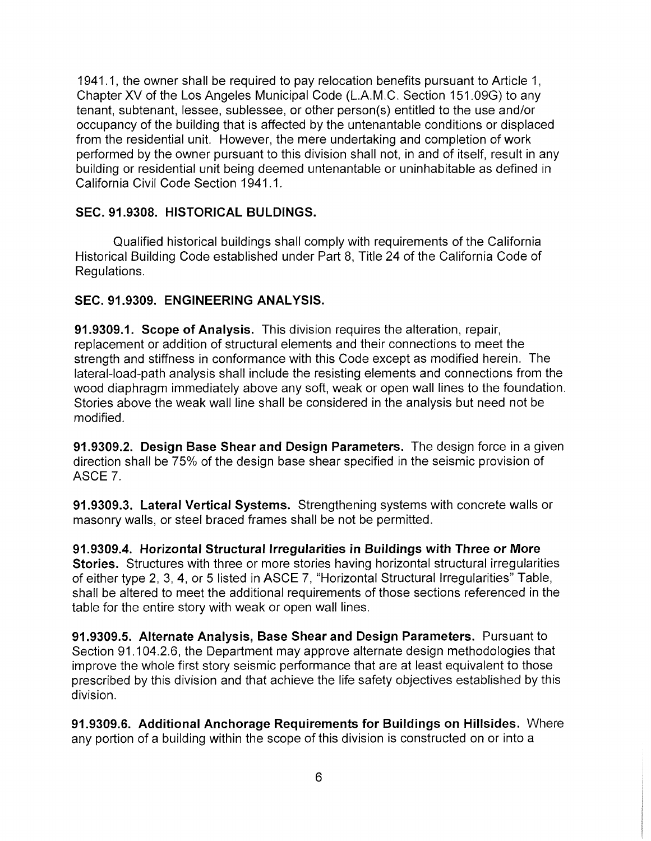1941.1, the owner shall be required to pay relocation benefits pursuant to Article 1, Chapter XV of the Los Angeles Municipal Code (L.A.M.C. Section 151,09G) to any tenant, subtenant, lessee, sublessee, or other person(s) entitled to the use and/or occupancy of the building that is affected by the untenantable conditions or displaced from the residential unit. However, the mere undertaking and completion of work performed by the owner pursuant to this division shall not, in and of itself, result in any building or residential unit being deemed untenantable or uninhabitable as defined in California Civil Code Section 1941.1.

# **SEC. 91.9308. HISTORICAL BULDINGS.**

Qualified historical buildings shall comply with requirements of the California Historical Building Code established under Part 8, Title 24 of the California Code of Regulations.

## **SEC. 91.9309. ENGINEERING ANALYSIS.**

**91.9309.1. Scope of Analysis.** This division requires the alteration, repair, replacement or addition of structural elements and their connections to meet the strength and stiffness in conformance with this Code except as modified herein. The lateral-load-path analysis shall include the resisting elements and connections from the wood diaphragm immediately above any soft, weak or open wall lines to the foundation. Stories above the weak wall line shall be considered in the analysis but need not be modified.

**91.9309.2. Design Base Shear and Design Parameters.** The design force in a given direction shall be 75% of the design base shear specified in the seismic provision of ASCE 7.

91.9309.3. **Lateral Vertical Systems.** Strengthening systems with concrete walls or masonry walls, or steel braced frames shall be not be permitted.

**91.9309.4. Horizontal Structural Irregularities in Buildings with Three or More Stories.** Structures with three or more stories having horizontal structural irregularities of either type 2, 3, 4, or 5 listed in ASCE 7, "Horizontal Structural Irregularities" Table, shall be altered to meet the additional requirements of those sections referenced in the table for the entire story with weak or open wall lines.

**91.9309.5. Alternate Analysis, Base Shear and Design Parameters.** Pursuant to Section 91.104.2.6, the Department may approve alternate design methodologies that improve the whole first story seismic performance that are at least equivalent to those prescribed by this division and that achieve the life safety objectives established by this division.

**91.9309.6. Additional Anchorage Requirements for Buildings on Hillsides.** Where any portion of a building within the scope of this division is constructed on or into a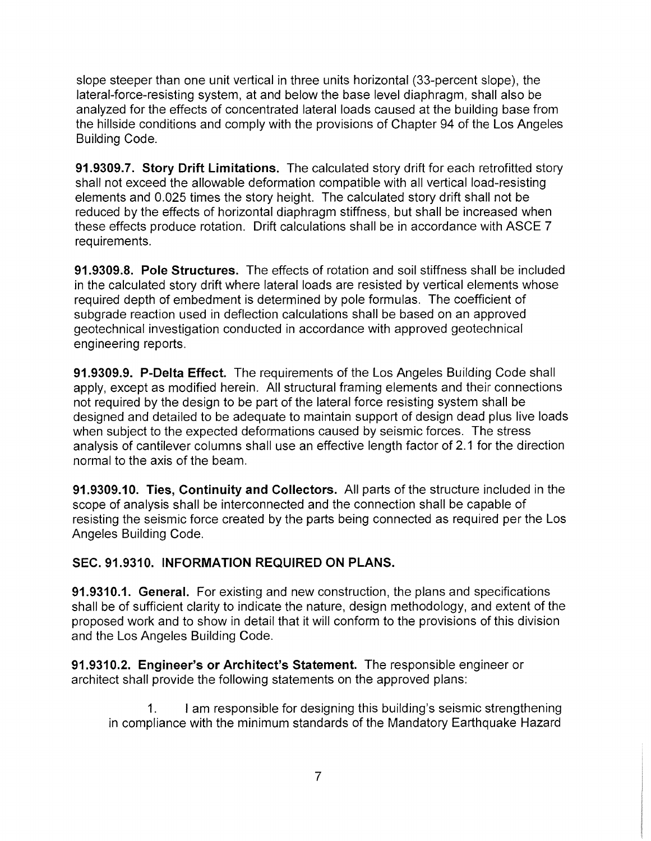slope steeper than one unit vertical in three units horizontal (33-percent slope), the lateral-force-resisting system, at and below the base level diaphragm, shall also be analyzed for the effects of concentrated lateral loads caused at the building base from the hillside conditions and comply with the provisions of Chapter 94 of the Los Angeles Building Code.

**91.9309.7. Story Drift Limitations.** The calculated story drift for each retrofitted story shall not exceed the allowable deformation compatible with all vertical load-resisting elements and 0.025 times the story height. The calculated story drift shall not be reduced by the effects of horizontal diaphragm stiffness, but shall be increased when these effects produce rotation. Drift calculations shall be in accordance with ASCE 7 requirements.

**91.9309.8. Pole Structures.** The effects of rotation and soil stiffness shall be included in the calculated story drift where lateral loads are resisted by vertical elements whose required depth of embedment is determined by pole formulas. The coefficient of subgrade reaction used in deflection calculations shall be based on an approved geotechnical investigation conducted in accordance with approved geotechnical engineering reports.

**91.9309.9. P-Delta Effect.** The requirements of the Los Angeles Building Code shall apply, except as modified herein. All structural framing elements and their connections not required by the design to be part of the lateral force resisting system shall be designed and detailed to be adequate to maintain support of design dead plus live loads when subject to the expected deformations caused by seismic forces. The stress analysis of cantilever columns shall use an effective length factor of 2.1 for the direction normal to the axis of the beam.

**91.9309.10. Ties, Continuity and Collectors.** All parts of the structure included in the scope of analysis shall be interconnected and the connection shall be capable of resisting the seismic force created by the parts being connected as required per the Los Angeles Building Code.

# **SEC. 91.9310. INFORMATION REQUIRED ON PLANS.**

**91.9310.1. General.** For existing and new construction, the plans and specifications shall be of sufficient clarity to indicate the nature, design methodology, and extent of the proposed work and to show in detail that it will conform to the provisions of this division and the Los Angeles Building Code.

91.9310.2. **Engineer's or Architect's Statement.** The responsible engineer or architect shall provide the following statements on the approved plans:

<sup>I</sup> am responsible for designing this building's seismic strengthening in compliance with the minimum standards of the Mandatory Earthquake Hazard 1**.**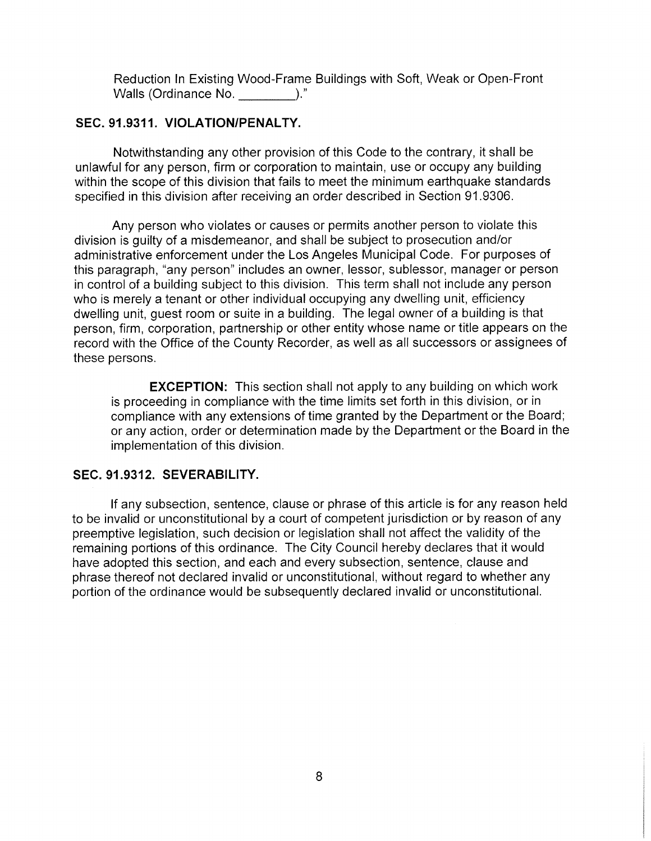Reduction In Existing Wood-Frame Buildings with Soft, Weak or Open-Front Walls (Ordinance No.  $\qquad \qquad$ )."

# **SEC. 91.9311. VIOLATION/PENALTY.**

Notwithstanding any other provision of this Code to the contrary, it shall be unlawful for any person, firm or corporation to maintain, use or occupy any building within the scope of this division that fails to meet the minimum earthquake standards specified in this division after receiving an order described in Section 91.9306.

Any person who violates or causes or permits another person to violate this division is guilty of a misdemeanor, and shall be subject to prosecution and/or administrative enforcement under the Los Angeles Municipal Code. For purposes of this paragraph, "any person" includes an owner, lessor, sublessor, manager or person in control of a building subject to this division. This term shall not include any person who is merely a tenant or other individual occupying any dwelling unit, efficiency dwelling unit, guest room or suite in a building. The legal owner of a building is that person, firm, corporation, partnership or other entity whose name or title appears on the record with the Office of the County Recorder, as well as all successors or assignees of these persons.

**EXCEPTION:** This section shall not apply to any building on which work is proceeding in compliance with the time limits set forth in this division, or in compliance with any extensions of time granted by the Department or the Board; or any action, order or determination made by the Department or the Board in the implementation of this division.

#### **SEC. 91.9312. SEVERABILITY.**

If any subsection, sentence, clause or phrase of this article is for any reason held to be invalid or unconstitutional by a court of competent jurisdiction or by reason of any preemptive legislation, such decision or legislation shall not affect the validity of the remaining portions of this ordinance. The City Council hereby declares that it would have adopted this section, and each and every subsection, sentence, clause and phrase thereof not declared invalid or unconstitutional, without regard to whether any portion of the ordinance would be subsequently declared invalid or unconstitutional.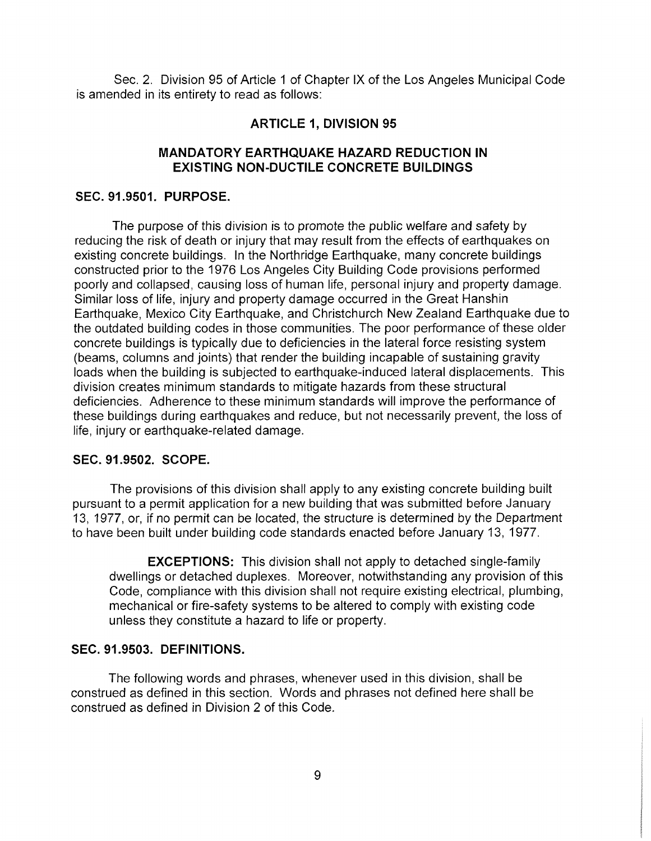Sec. 2. Division 95 of Article <sup>1</sup> of Chapter IX of the Los Angeles Municipal Code is amended in its entirety to read as follows:

## **ARTICLE 1, DIVISION 95**

## **MANDATORY EARTHQUAKE HAZARD REDUCTION IN EXISTING NON-DUCTILE CONCRETE BUILDINGS**

#### **SEC. 91.9501. PURPOSE.**

The purpose of this division is to promote the public welfare and safety by reducing the risk of death or injury that may result from the effects of earthquakes on existing concrete buildings. In the Northridge Earthquake, many concrete buildings constructed prior to the 1976 Los Angeles City Building Code provisions performed poorly and collapsed, causing loss of human life, personal injury and property damage. Similar loss of life, injury and property damage occurred in the Great Hanshin Earthquake, Mexico City Earthquake, and Christchurch New Zealand Earthquake due to the outdated building codes in those communities. The poor performance of these older concrete buildings is typically due to deficiencies in the lateral force resisting system (beams, columns and joints) that render the building incapable of sustaining gravity loads when the building is subjected to earthquake-induced lateral displacements. This division creates minimum standards to mitigate hazards from these structural deficiencies. Adherence to these minimum standards will improve the performance of these buildings during earthquakes and reduce, but not necessarily prevent, the loss of life, injury or earthquake-related damage.

#### **SEC. 91.9502. SCOPE.**

The provisions of this division shall apply to any existing concrete building built pursuant to a permit application for a new building that was submitted before January 13, 1977, or, if no permit can be located, the structure is determined by the Department to have been built under building code standards enacted before January 13, 1977.

**EXCEPTIONS:** This division shall not apply to detached single-family dwellings or detached duplexes. Moreover, notwithstanding any provision of this Code, compliance with this division shall not require existing electrical, plumbing, mechanical or fire-safety systems to be altered to comply with existing code unless they constitute a hazard to life or property.

### **SEC. 91.9503. DEFINITIONS.**

The following words and phrases, whenever used in this division, shall be construed as defined in this section. Words and phrases not defined here shall be construed as defined in Division 2 of this Code.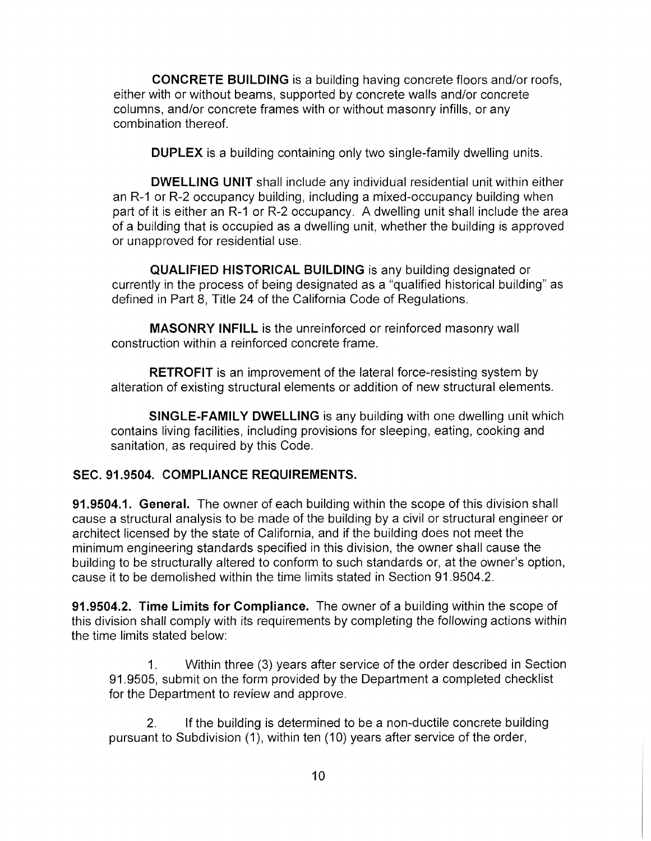**CONCRETE BUILDING** is a building having concrete floors and/or roofs, either with or without beams, supported by concrete walls and/or concrete columns, and/or concrete frames with or without masonry infills, or any combination thereof.

**DUPLEX** is a building containing only two single-family dwelling units.

**DWELLING UNIT** shall include any individual residential unit within either an R-1 or R-2 occupancy building, including a mixed-occupancy building when part of it is either an R-1 or R-2 occupancy. A dwelling unit shall include the area of a building that is occupied as a dwelling unit, whether the building is approved or unapproved for residential use.

**QUALIFIED HISTORICAL BUILDING** is any building designated or currently in the process of being designated as a "qualified historical building" as defined in Part 8, Title 24 of the California Code of Regulations.

**MASONRY INFILL** is the unreinforced or reinforced masonry wall construction within a reinforced concrete frame.

**RETROFIT** is an improvement of the lateral force-resisting system by alteration of existing structural elements or addition of new structural elements.

**SINGLE-FAMILY DWELLING** is any building with one dwelling unit which contains living facilities, including provisions for sleeping, eating, cooking and sanitation, as required by this Code.

# **SEC. 91.9504. COMPLIANCE REQUIREMENTS.**

**91.9504.1. General.** The owner of each building within the scope of this division shall cause a structural analysis to be made of the building by a civil or structural engineer or architect licensed by the state of California, and if the building does not meet the minimum engineering standards specified in this division, the owner shall cause the building to be structurally altered to conform to such standards or, at the owner's option, cause it to be demolished within the time limits stated in Section 91.9504.2.

**91.9504.2. Time Limits for Compliance.** The owner of a building within the scope of this division shall comply with its requirements by completing the following actions within the time limits stated below:

Within three (3) years after service of the order described in Section 91.9505, submit on the form provided by the Department a completed checklist for the Department to review and approve. 1.

If the building is determined to be a non-ductile concrete building pursuant to Subdivision (1), within ten (10) years after service of the order, 2**.**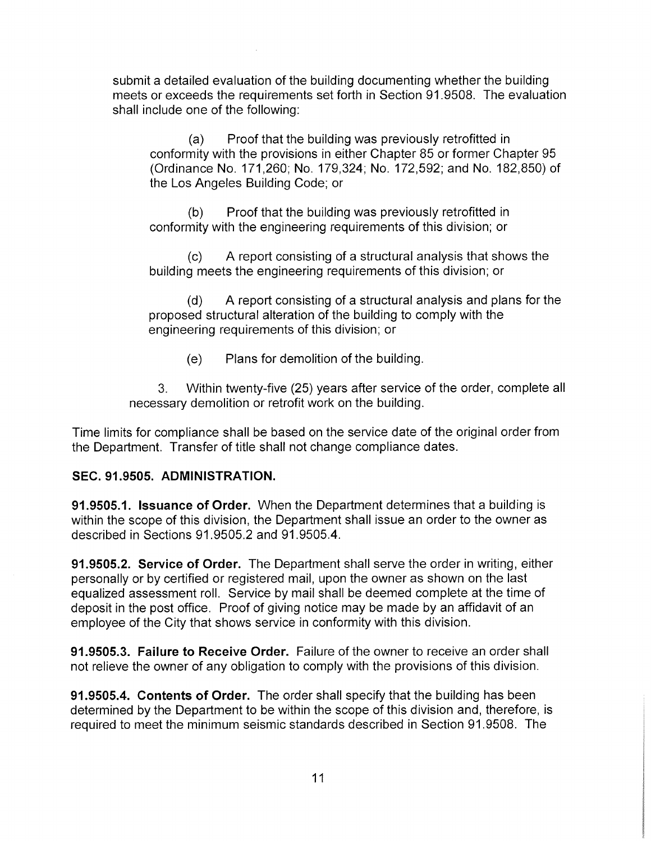submit a detailed evaluation of the building documenting whether the building meets or exceeds the requirements set forth in Section 91.9508. The evaluation shall include one of the following:

Proof that the building was previously retrofitted in conformity with the provisions in either Chapter 85 or former Chapter 95 (Ordinance No. 171,260; No. 179,324; No. 172,592; and No. 182,850) of the Los Angeles Building Code; or (a)

Proof that the building was previously retrofitted in conformity with the engineering requirements of this division; or (b)

A report consisting of a structural analysis that shows the building meets the engineering requirements of this division; or  $(c)$ 

A report consisting of a structural analysis and plans for the proposed structural alteration of the building to comply with the engineering requirements of this division; or (d)

(e) Plans for demolition of the building.

3. Within twenty-five (25) years after service of the order, complete all necessary demolition or retrofit work on the building.

Time limits for compliance shall be based on the service date of the original order from the Department. Transfer of title shall not change compliance dates.

# **SEC. 91.9505. ADMINISTRATION.**

**91.9505.1. Issuance of Order.** When the Department determines that a building is within the scope of this division, the Department shall issue an order to the owner as described in Sections 91.9505.2 and 91.9505.4.

**91.9505.2. Service of Order.** The Department shall serve the order in writing, either personally or by certified or registered mail, upon the owner as shown on the last equalized assessment roll. Service by mail shall be deemed complete at the time of deposit in the post office. Proof of giving notice may be made by an affidavit of an employee of the City that shows service in conformity with this division.

**91.9505.3. Failure to Receive Order.** Failure of the owner to receive an order shall not relieve the owner of any obligation to comply with the provisions of this division.

**91.9505.4. Contents of Order.** The order shall specify that the building has been determined by the Department to be within the scope of this division and, therefore, is required to meet the minimum seismic standards described in Section 91.9508. The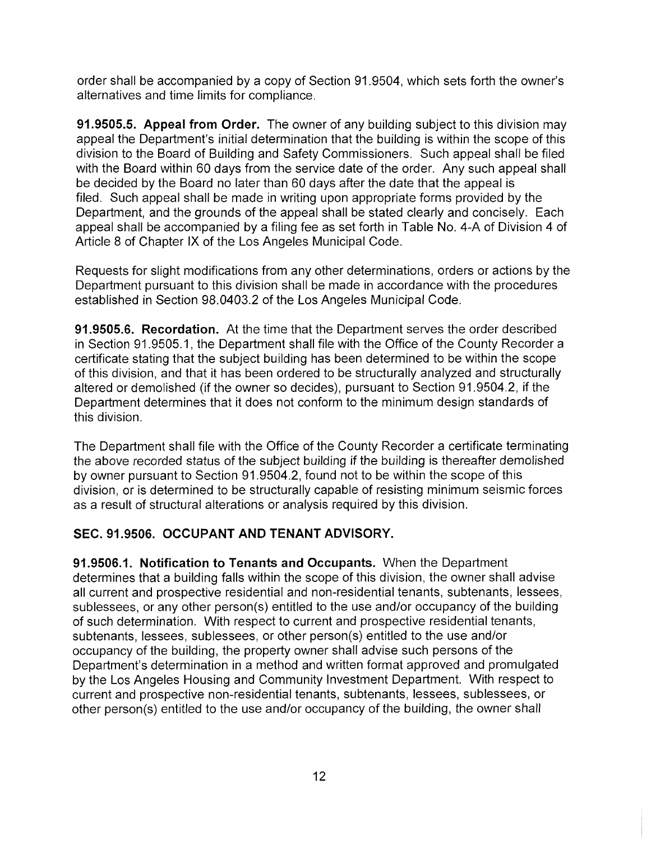order shall be accompanied by a copy of Section 91.9504, which sets forth the owner's alternatives and time limits for compliance.

**91.9505.5. Appeal from Order.** The owner of any building subject to this division may appeal the Department's initial determination that the building is within the scope of this division to the Board of Building and Safety Commissioners. Such appeal shall be filed with the Board within 60 days from the service date of the order. Any such appeal shall be decided by the Board no later than 60 days after the date that the appeal is filed. Such appeal shall be made in writing upon appropriate forms provided by the Department, and the grounds of the appeal shall be stated clearly and concisely. Each appeal shall be accompanied by a filing fee as set forth in Table No. 4-A of Division 4 of Article 8 of Chapter IX of the Los Angeles Municipal Code.

Requests for slight modifications from any other determinations, orders or actions by the Department pursuant to this division shall be made in accordance with the procedures established in Section 98.0403.2 of the Los Angeles Municipal Code.

**91.9505.6. Recordation.** At the time that the Department serves the order described in Section 91.9505.1, the Department shall file with the Office of the County Recorder a certificate stating that the subject building has been determined to be within the scope of this division, and that it has been ordered to be structurally analyzed and structurally altered or demolished (if the owner so decides), pursuant to Section 91.9504.2, if the Department determines that it does not conform to the minimum design standards of this division.

The Department shall file with the Office of the County Recorder a certificate terminating the above recorded status of the subject building if the building is thereafter demolished by owner pursuant to Section 91.9504.2, found not to be within the scope of this division, or is determined to be structurally capable of resisting minimum seismic forces as a result of structural alterations or analysis required by this division.

# **SEC. 91.9506. OCCUPANT AND TENANT ADVISORY.**

**91.9506.1. Notification to Tenants and Occupants.** When the Department determines that a building falls within the scope of this division, the owner shall advise all current and prospective residential and non-residential tenants, subtenants, lessees, sublessees, or any other person(s) entitled to the use and/or occupancy of the building of such determination. With respect to current and prospective residential tenants, subtenants, lessees, sublessees, or other person(s) entitled to the use and/or occupancy of the building, the property owner shall advise such persons of the Department's determination in a method and written format approved and promulgated by the Los Angeles Housing and Community Investment Department. With respect to current and prospective non-residential tenants, subtenants, lessees, sublessees, or other person(s) entitled to the use and/or occupancy of the building, the owner shall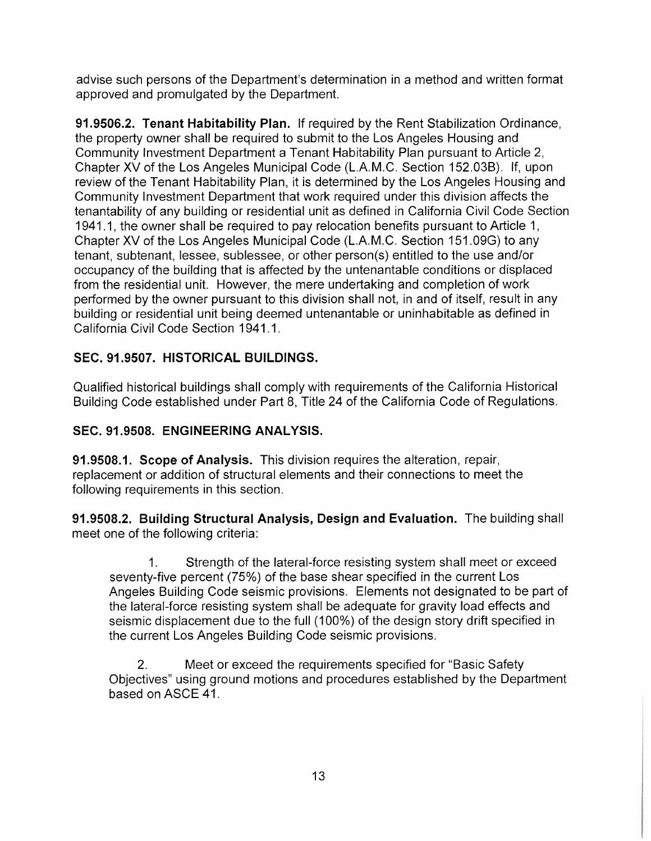advise such persons of the Department's determination in a method and written format approved and promulgated by the Department.

**91.9506.2. Tenant Habitability Plan.** If required by the Rent Stabilization Ordinance, the property owner shall be required to submit to the Los Angeles Housing and Community Investment Department a Tenant Habitability Plan pursuant to Article 2, Chapter XV of the Los Angeles Municipal Code (L.A.M.C. Section 152.03B). If, upon review of the Tenant Habitability Plan, it is determined by the Los Angeles Housing and Community Investment Department that work required under this division affects the tenantability of any building or residential unit as defined in California Civil Code Section 1941.1, the owner shall be required to pay relocation benefits pursuant to Article 1, Chapter XV of the Los Angeles Municipal Code (L.A.M.C. Section 151.09G) to any tenant, subtenant, lessee, sublessee, or other person(s) entitled to the use and/or occupancy of the building that is affected by the untenantable conditions or displaced from the residential unit. However, the mere undertaking and completion of work performed by the owner pursuant to this division shall not, in and of itself, result in any building or residential unit being deemed untenantable or uninhabitable as defined in California Civil Code Section 1941.1.

# **SEC. 91.9507. HISTORICAL BUILDINGS.**

Qualified historical buildings shall comply with requirements of the California Historical Building Code established under Part 8, Title 24 of the California Code of Regulations.

# **SEC. 91.9508. ENGINEERING ANALYSIS.**

**91.9508.1. Scope of Analysis.** This division requires the alteration, repair, replacement or addition of structural elements and their connections to meet the following requirements in this section.

**91.9508.2. Building Structural Analysis, Design and Evaluation.** The building shall meet one of the following criteria:

Strength of the lateral-force resisting system shall meet or exceed seventy-five percent (75%) of the base shear specified in the current Los Angeles Building Code seismic provisions. Elements not designated to be part of the lateral-force resisting system shall be adequate for gravity load effects and seismic displacement due to the full (100%) of the design story drift specified in the current Los Angeles Building Code seismic provisions. 1**.**

Meet or exceed the requirements specified for "Basic Safety Objectives" using ground motions and procedures established by the Department based on ASCE 41. 2**.**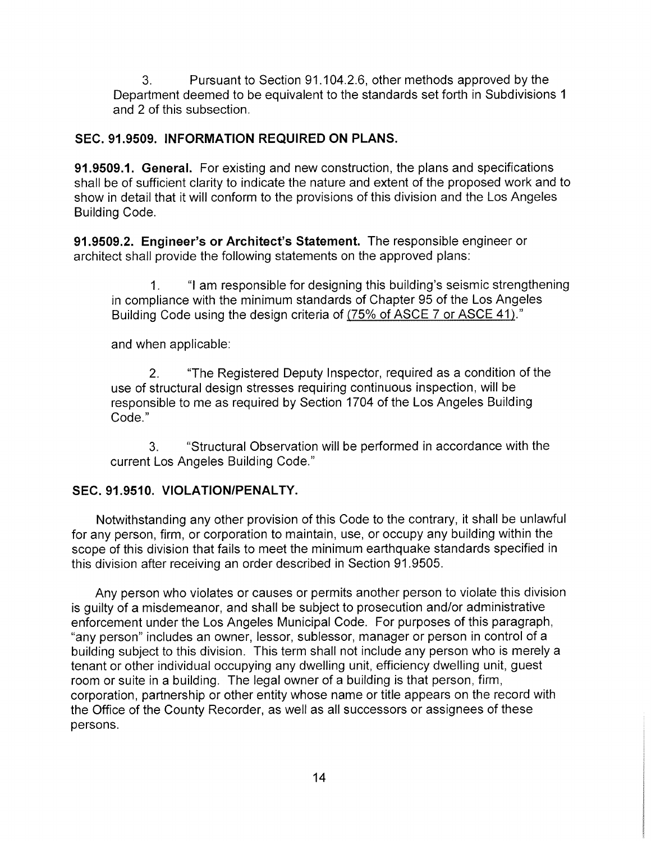Pursuant to Section 91.104.2.6, other methods approved by the Department deemed to be equivalent to the standards set forth in Subdivisions <sup>1</sup> and 2 of this subsection. 3**.**

# **SEC. 91.9509. INFORMATION REQUIRED ON PLANS.**

**91.9509.1. General.** For existing and new construction, the plans and specifications shall be of sufficient clarity to indicate the nature and extent of the proposed work and to show in detail that it will conform to the provisions of this division and the Los Angeles Building Code.

**91.9509.2. Engineer's or Architect's Statement.** The responsible engineer or architect shall provide the following statements on the approved plans:

"I am responsible for designing this building's seismic strengthening in compliance with the minimum standards of Chapter 95 of the Los Angeles Building Code using the design criteria of (75% of ASCE 7 or ASCE 41)." 1**,**

and when applicable:

The Registered Deputy Inspector, required as a condition of the use of structural design stresses requiring continuous inspection, will be responsible to me as required by Section 1704 of the Los Angeles Building Code." 2**.**

Structural Observation will be performed in accordance with the current Los Angeles Building Code." 3.

# **SEC. 91.9510. VIOLATION/PENALTY.**

Notwithstanding any other provision of this Code to the contrary, it shall be unlawful for any person, firm, or corporation to maintain, use, or occupy any building within the scope of this division that fails to meet the minimum earthquake standards specified in this division after receiving an order described in Section 91.9505.

Any person who violates or causes or permits another person to violate this division is guilty of a misdemeanor, and shall be subject to prosecution and/or administrative enforcement under the Los Angeles Municipal Code. For purposes of this paragraph, "any person" includes an owner, lessor, sublessor, manager or person in control of a building subject to this division. This term shall not include any person who is merely a tenant or other individual occupying any dwelling unit, efficiency dwelling unit, guest room or suite in a building. The legal owner of a building is that person, firm, corporation, partnership or other entity whose name or title appears on the record with the Office of the County Recorder, as well as all successors or assignees of these persons.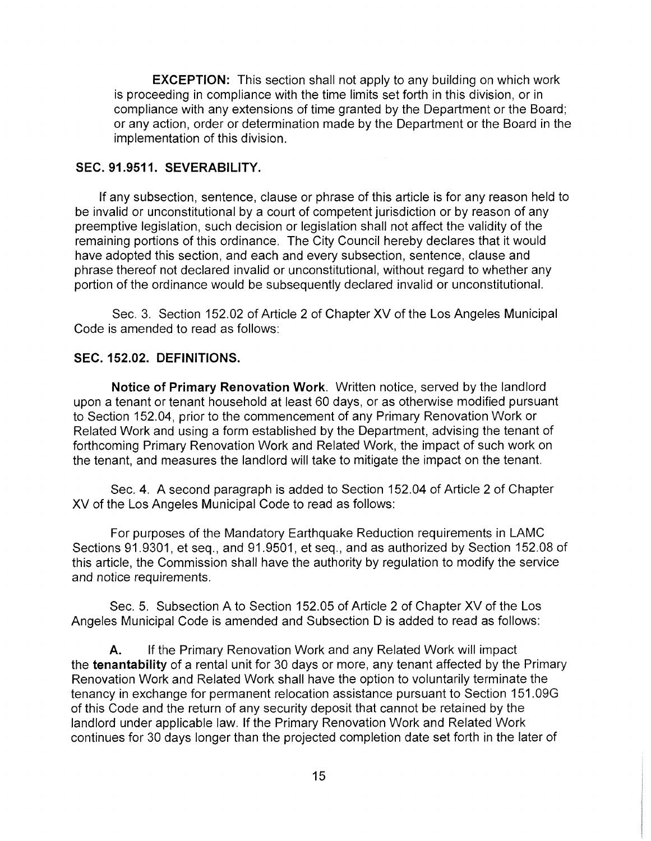**EXCEPTION:** This section shall not apply to any building on which work is proceeding in compliance with the time limits set forth in this division, or in compliance with any extensions of time granted by the Department or the Board; or any action, order or determination made by the Department or the Board in the implementation of this division.

## **SEC. 91.9511. SEVERABILITY.**

If any subsection, sentence, clause or phrase of this article is for any reason held to be invalid or unconstitutional by a court of competent jurisdiction or by reason of any preemptive legislation, such decision or legislation shall not affect the validity of the remaining portions of this ordinance. The City Council hereby declares that it would have adopted this section, and each and every subsection, sentence, clause and phrase thereof not declared invalid or unconstitutional, without regard to whether any portion of the ordinance would be subsequently declared invalid or unconstitutional.

Sec. 3. Section 152.02 of Article 2 of Chapter XV of the Los Angeles Municipal Code is amended to read as follows:

## **SEC. 152.02. DEFINITIONS.**

**Notice of Primary Renovation Work.** Written notice, served by the landlord upon a tenant or tenant household at least 60 days, or as otherwise modified pursuant to Section 152.04, prior to the commencement of any Primary Renovation Work or Related Work and using a form established by the Department, advising the tenant of forthcoming Primary Renovation Work and Related Work, the impact of such work on the tenant, and measures the landlord will take to mitigate the impact on the tenant.

Sec. 4. A second paragraph is added to Section 152.04 of Article 2 of Chapter XV of the Los Angeles Municipal Code to read as follows:

For purposes of the Mandatory Earthquake Reduction requirements in LAMC Sections 91.9301, et seq., and 91.9501, et seq., and as authorized by Section 152.08 of this article, the Commission shall have the authority by regulation to modify the service and notice requirements.

Sec. 5. Subsection A to Section 152.05 of Article 2 of Chapter XV of the Los Angeles Municipal Code is amended and Subsection D is added to read as follows:

If the Primary Renovation Work and any Related Work will impact the **tenantability** of a rental unit for **30** days or more, any tenant affected by the Primary Renovation Work and Related Work shall have the option to voluntarily terminate the tenancy in exchange for permanent relocation assistance pursuant to Section **151.09G** of this Code and the return of any security deposit that cannot be retained by the landlord under applicable law. If the Primary Renovation Work and Related Work continues for **30** days longer than the projected completion date set forth in the later of **A.**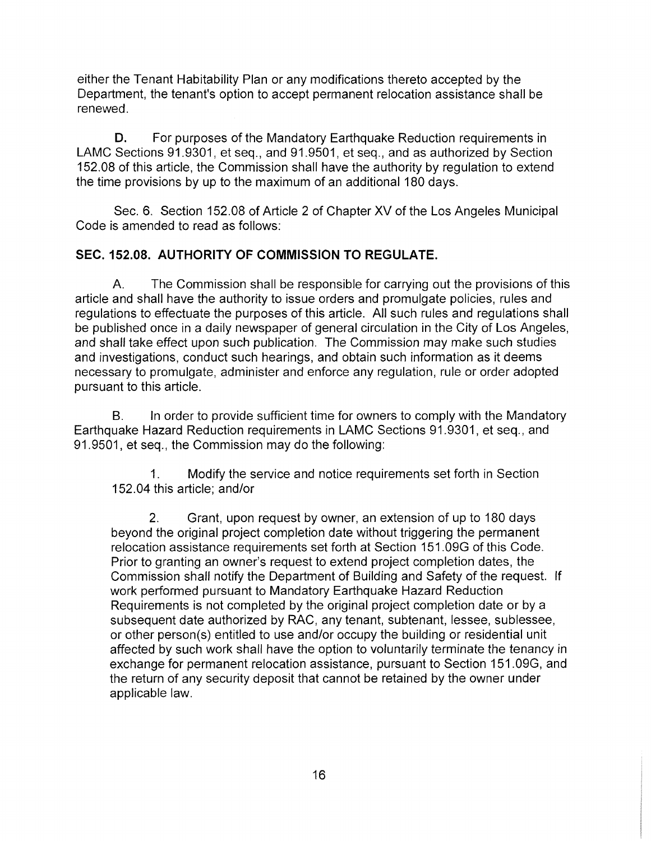either the Tenant Habitability Plan or any modifications thereto accepted by the Department, the tenant's option to accept permanent relocation assistance shall be renewed.

For purposes of the Mandatory Earthquake Reduction requirements in LAMC Sections 91.9301, et seq., and 91.9501, et seq., and as authorized by Section 152.08 of this article, the Commission shall have the authority by regulation to extend the time provisions by up to the maximum of an additional 180 days. **D.**

Sec. 6. Section 152.08 of Article 2 of Chapter XV of the Los Angeles Municipal Code is amended to read as follows:

# **SEC. 152.08. AUTHORITY OF COMMISSION TO REGULATE.**

The Commission shall be responsible for carrying out the provisions of this article and shall have the authority to issue orders and promulgate policies, rules and regulations to effectuate the purposes of this article. All such rules and regulations shall be published once in a daily newspaper of general circulation in the City of Los Angeles, and shall take effect upon such publication. The Commission may make such studies and investigations, conduct such hearings, and obtain such information as it deems necessary to promulgate, administer and enforce any regulation, rule or order adopted pursuant to this article. A.

In order to provide sufficient time for owners to comply with the Mandatory Earthquake Hazard Reduction requirements in LAMC Sections 91.9301, et seq., and 91.9501, et seq., the Commission may do the following: B.

1**.** Modify the service and notice requirements set forth in Section 152.04 this article; and/or

Grant, upon request by owner, an extension of up to 180 days beyond the original project completion date without triggering the permanent relocation assistance requirements set forth at Section 151.09G of this Code. Prior to granting an owner's request to extend project completion dates, the Commission shall notify the Department of Building and Safety of the request. If work performed pursuant to Mandatory Earthquake Hazard Reduction Requirements is not completed by the original project completion date or by a subsequent date authorized by RAC, any tenant, subtenant, lessee, sublessee, or other person(s) entitled to use and/or occupy the building or residential unit affected by such work shall have the option to voluntarily terminate the tenancy in exchange for permanent relocation assistance, pursuant to Section 151.09G, and the return of any security deposit that cannot be retained by the owner under applicable law. 2**.**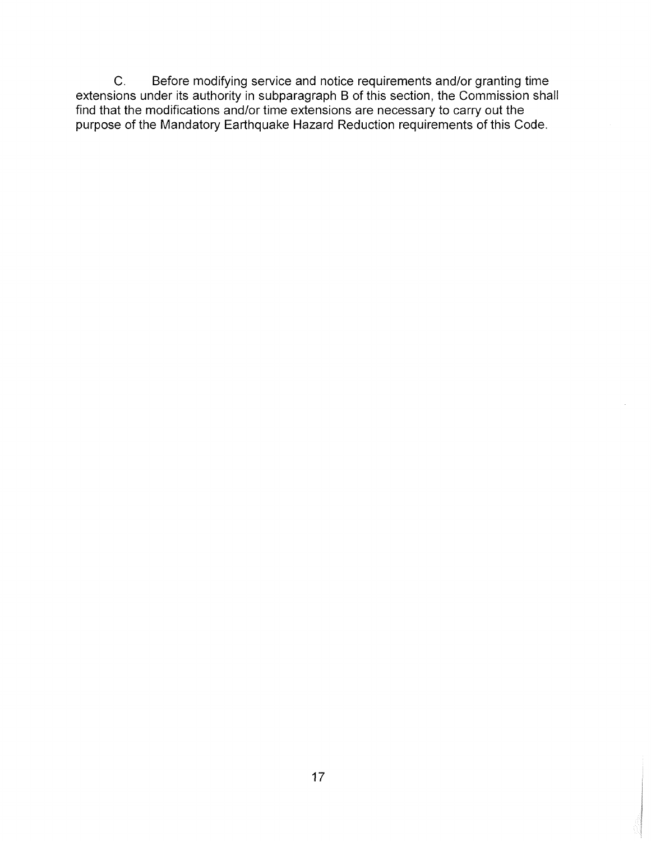Before modifying service and notice requirements and/or granting time extensions under its authority in subparagraph B of this section, the Commission shall find that the modifications and/or time extensions are necessary to carry out the purpose of the Mandatory Earthquake Hazard Reduction requirements of this Code. C.